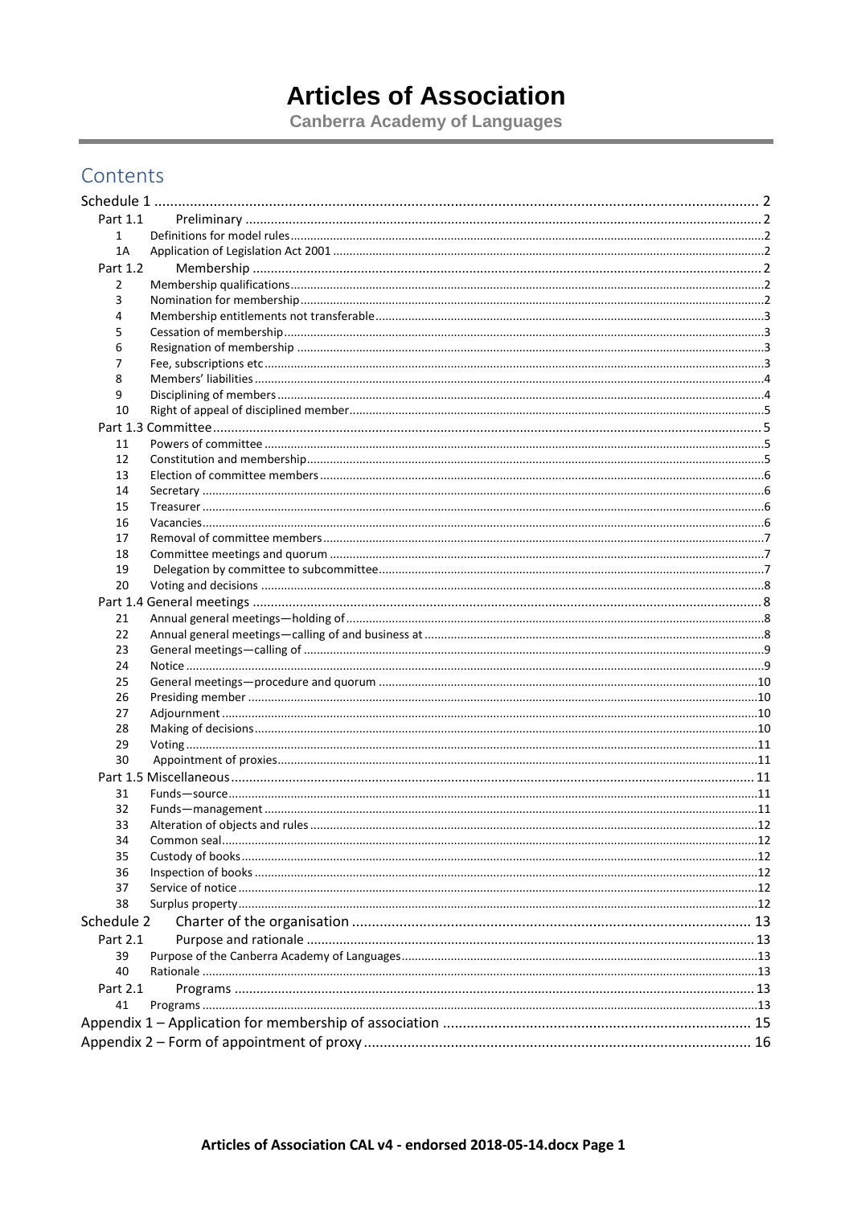# **Articles of Association**

**Canberra Academy of Languages** 

# Contents

| Part 1.1   |  |
|------------|--|
| 1          |  |
| 1A         |  |
| Part 1.2   |  |
| 2          |  |
| 3          |  |
| 4          |  |
| 5          |  |
| 6          |  |
| 7          |  |
| 8          |  |
| 9          |  |
| 10         |  |
|            |  |
|            |  |
| 11         |  |
| 12         |  |
| 13         |  |
| 14         |  |
| 15         |  |
| 16         |  |
| 17         |  |
| 18         |  |
| 19         |  |
| 20         |  |
|            |  |
| 21         |  |
| 22         |  |
| 23         |  |
| 24         |  |
| 25         |  |
| 26         |  |
| 27         |  |
| 28         |  |
| 29         |  |
| 30         |  |
|            |  |
| 31         |  |
| 32         |  |
| 33         |  |
| 34         |  |
| 35         |  |
| 36         |  |
| 37         |  |
| 38         |  |
| Schedule 2 |  |
|            |  |
| Part 2.1   |  |
| 39         |  |
| 40         |  |
| Part 2.1   |  |
| 41         |  |
|            |  |
|            |  |
|            |  |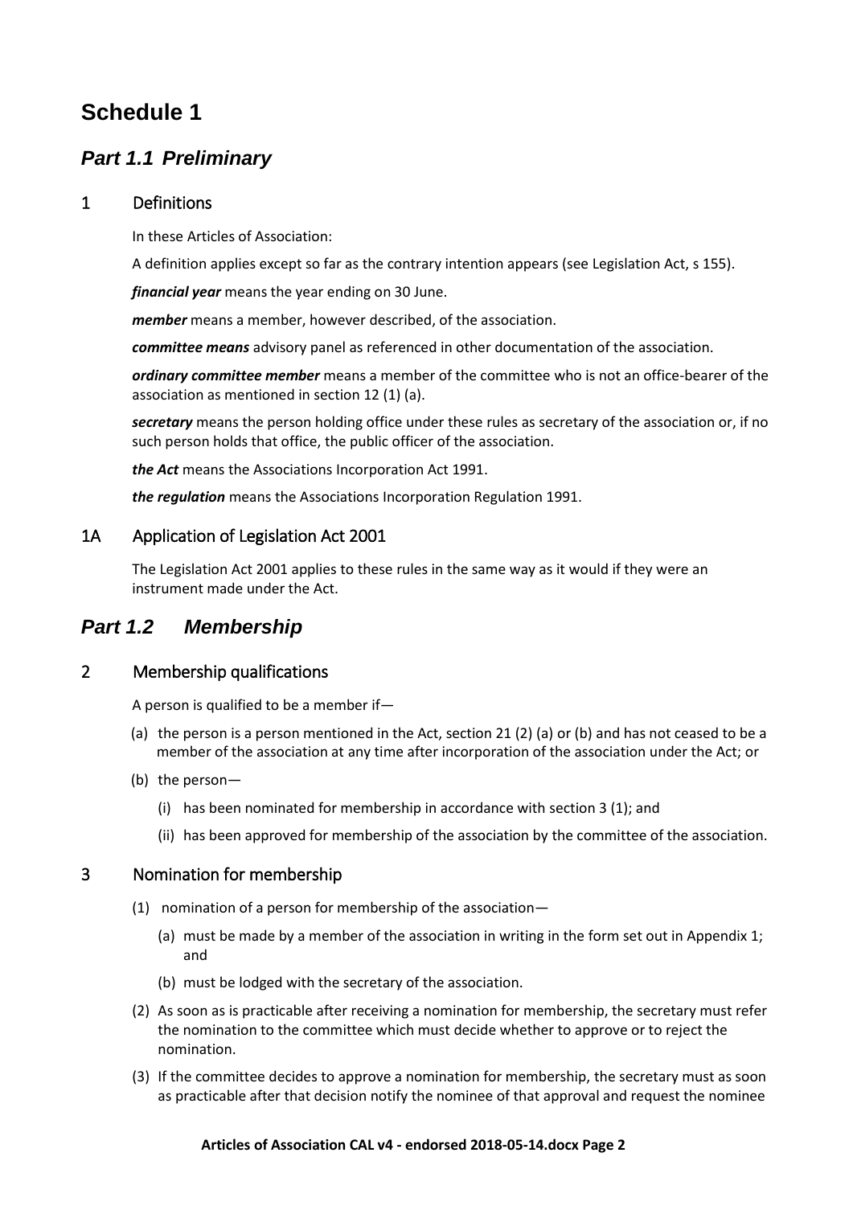# <span id="page-1-0"></span>**Schedule 1**

# <span id="page-1-1"></span>*Part 1.1 Preliminary*

## <span id="page-1-2"></span>1 Definitions

In these Articles of Association:

A definition applies except so far as the contrary intention appears (see Legislation Act, s 155).

*financial year* means the year ending on 30 June.

*member* means a member, however described, of the association.

*committee means* advisory panel as referenced in other documentation of the association.

*ordinary committee member* means a member of the committee who is not an office-bearer of the association as mentioned in section 12 (1) (a).

*secretary* means the person holding office under these rules as secretary of the association or, if no such person holds that office, the public officer of the association.

*the Act* means the Associations Incorporation Act 1991.

*the regulation* means the Associations Incorporation Regulation 1991.

## <span id="page-1-3"></span>1A Application of Legislation Act 2001

The Legislation Act 2001 applies to these rules in the same way as it would if they were an instrument made under the Act.

## <span id="page-1-4"></span>*Part 1.2 Membership*

## <span id="page-1-5"></span>2 Membership qualifications

A person is qualified to be a member if—

- (a) the person is a person mentioned in the Act, section 21 (2) (a) or (b) and has not ceased to be a member of the association at any time after incorporation of the association under the Act; or
- (b) the person—
	- (i) has been nominated for membership in accordance with section 3 (1); and
	- (ii) has been approved for membership of the association by the committee of the association.

## <span id="page-1-6"></span>3 Nomination for membership

- (1) nomination of a person for membership of the association—
	- (a) must be made by a member of the association in writing in the form set out in Appendix 1; and
	- (b) must be lodged with the secretary of the association.
- (2) As soon as is practicable after receiving a nomination for membership, the secretary must refer the nomination to the committee which must decide whether to approve or to reject the nomination.
- (3) If the committee decides to approve a nomination for membership, the secretary must as soon as practicable after that decision notify the nominee of that approval and request the nominee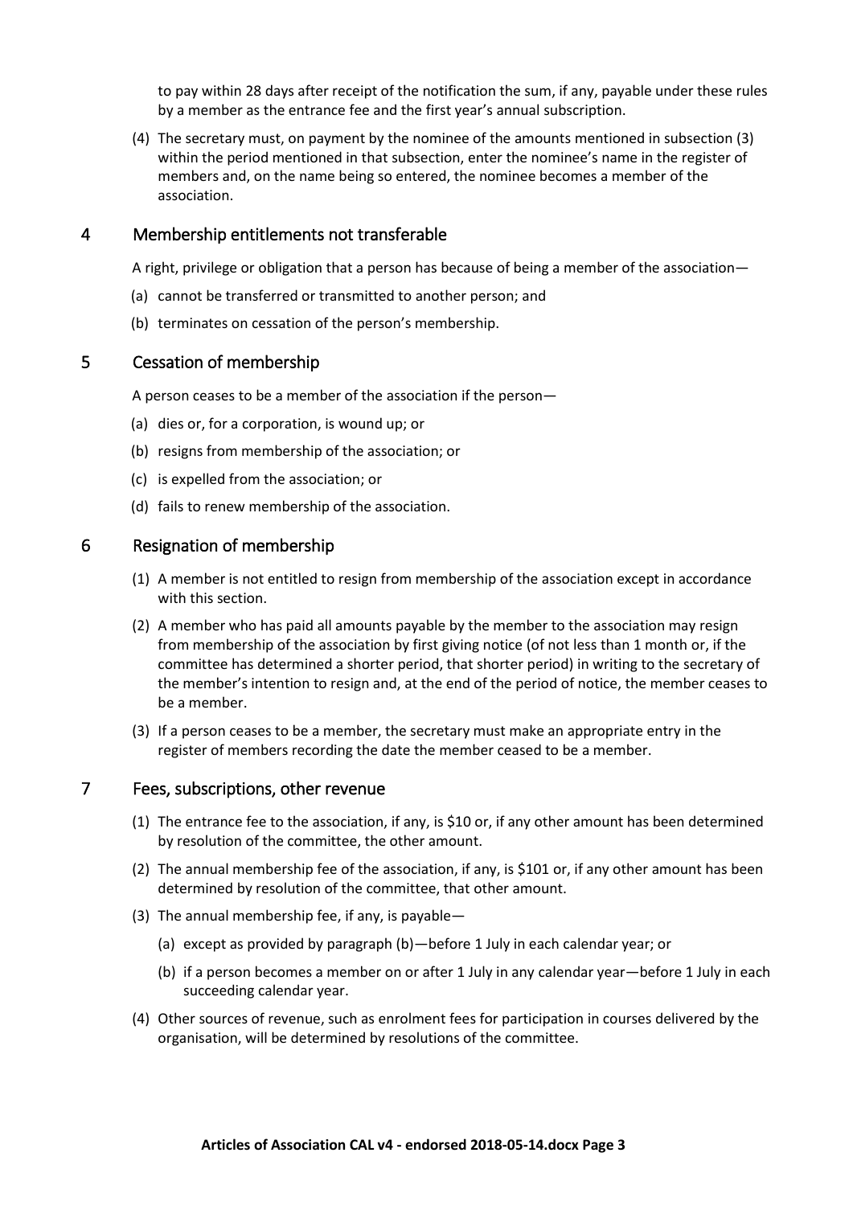to pay within 28 days after receipt of the notification the sum, if any, payable under these rules by a member as the entrance fee and the first year's annual subscription.

(4) The secretary must, on payment by the nominee of the amounts mentioned in subsection (3) within the period mentioned in that subsection, enter the nominee's name in the register of members and, on the name being so entered, the nominee becomes a member of the association.

#### <span id="page-2-0"></span>4 Membership entitlements not transferable

A right, privilege or obligation that a person has because of being a member of the association—

- (a) cannot be transferred or transmitted to another person; and
- (b) terminates on cessation of the person's membership.

#### <span id="page-2-1"></span>5 Cessation of membership

A person ceases to be a member of the association if the person—

- (a) dies or, for a corporation, is wound up; or
- (b) resigns from membership of the association; or
- (c) is expelled from the association; or
- (d) fails to renew membership of the association.

#### <span id="page-2-2"></span>6 Resignation of membership

- (1) A member is not entitled to resign from membership of the association except in accordance with this section.
- (2) A member who has paid all amounts payable by the member to the association may resign from membership of the association by first giving notice (of not less than 1 month or, if the committee has determined a shorter period, that shorter period) in writing to the secretary of the member's intention to resign and, at the end of the period of notice, the member ceases to be a member.
- (3) If a person ceases to be a member, the secretary must make an appropriate entry in the register of members recording the date the member ceased to be a member.

#### <span id="page-2-3"></span>7 Fees, subscriptions, other revenue

- (1) The entrance fee to the association, if any, is \$10 or, if any other amount has been determined by resolution of the committee, the other amount.
- (2) The annual membership fee of the association, if any, is \$101 or, if any other amount has been determined by resolution of the committee, that other amount.
- (3) The annual membership fee, if any, is payable—
	- (a) except as provided by paragraph (b)—before 1 July in each calendar year; or
	- (b) if a person becomes a member on or after 1 July in any calendar year—before 1 July in each succeeding calendar year.
- (4) Other sources of revenue, such as enrolment fees for participation in courses delivered by the organisation, will be determined by resolutions of the committee.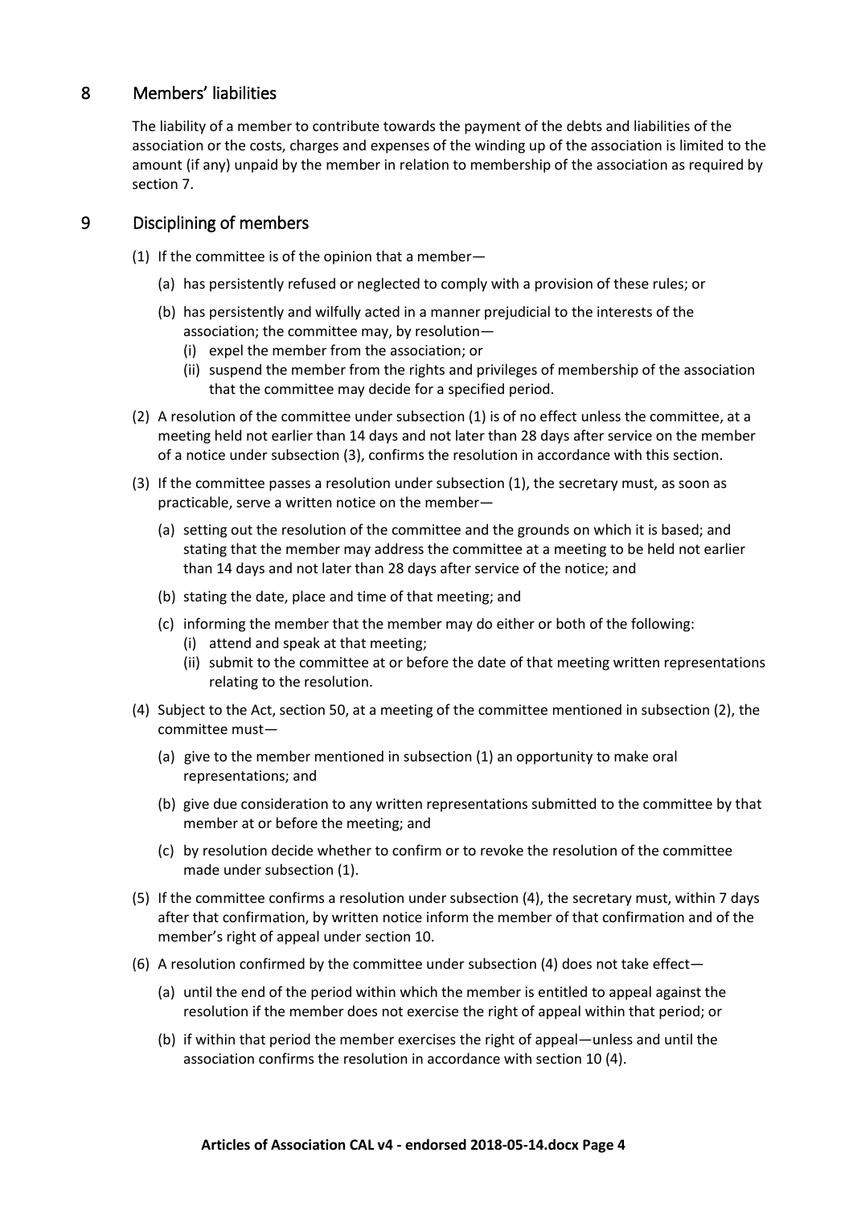## <span id="page-3-0"></span>8 Members' liabilities

The liability of a member to contribute towards the payment of the debts and liabilities of the association or the costs, charges and expenses of the winding up of the association is limited to the amount (if any) unpaid by the member in relation to membership of the association as required by section 7.

## <span id="page-3-1"></span>9 Disciplining of members

(1) If the committee is of the opinion that a member—

- (a) has persistently refused or neglected to comply with a provision of these rules; or
- (b) has persistently and wilfully acted in a manner prejudicial to the interests of the association; the committee may, by resolution—
	- (i) expel the member from the association; or
	- (ii) suspend the member from the rights and privileges of membership of the association that the committee may decide for a specified period.
- (2) A resolution of the committee under subsection (1) is of no effect unless the committee, at a meeting held not earlier than 14 days and not later than 28 days after service on the member of a notice under subsection (3), confirms the resolution in accordance with this section.
- (3) If the committee passes a resolution under subsection (1), the secretary must, as soon as practicable, serve a written notice on the member—
	- (a) setting out the resolution of the committee and the grounds on which it is based; and stating that the member may address the committee at a meeting to be held not earlier than 14 days and not later than 28 days after service of the notice; and
	- (b) stating the date, place and time of that meeting; and
	- (c) informing the member that the member may do either or both of the following: (i) attend and speak at that meeting;
		- (ii) submit to the committee at or before the date of that meeting written representations relating to the resolution.
- (4) Subject to the Act, section 50, at a meeting of the committee mentioned in subsection (2), the committee must—
	- (a) give to the member mentioned in subsection (1) an opportunity to make oral representations; and
	- (b) give due consideration to any written representations submitted to the committee by that member at or before the meeting; and
	- (c) by resolution decide whether to confirm or to revoke the resolution of the committee made under subsection (1).
- (5) If the committee confirms a resolution under subsection (4), the secretary must, within 7 days after that confirmation, by written notice inform the member of that confirmation and of the member's right of appeal under section 10.
- (6) A resolution confirmed by the committee under subsection (4) does not take effect—
	- (a) until the end of the period within which the member is entitled to appeal against the resolution if the member does not exercise the right of appeal within that period; or
	- (b) if within that period the member exercises the right of appeal—unless and until the association confirms the resolution in accordance with section 10 (4).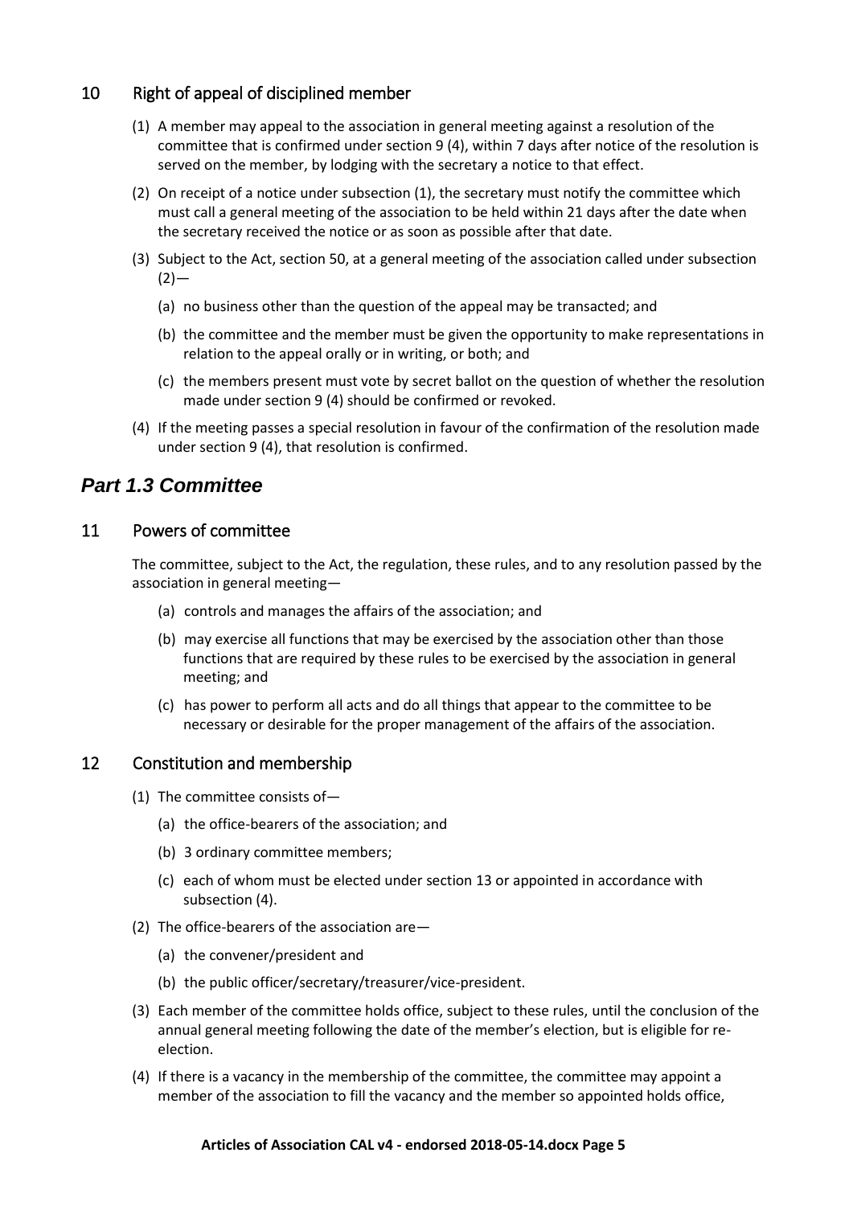## <span id="page-4-0"></span>10 Right of appeal of disciplined member

- (1) A member may appeal to the association in general meeting against a resolution of the committee that is confirmed under section 9 (4), within 7 days after notice of the resolution is served on the member, by lodging with the secretary a notice to that effect.
- (2) On receipt of a notice under subsection (1), the secretary must notify the committee which must call a general meeting of the association to be held within 21 days after the date when the secretary received the notice or as soon as possible after that date.
- (3) Subject to the Act, section 50, at a general meeting of the association called under subsection  $(2)$ —
	- (a) no business other than the question of the appeal may be transacted; and
	- (b) the committee and the member must be given the opportunity to make representations in relation to the appeal orally or in writing, or both; and
	- (c) the members present must vote by secret ballot on the question of whether the resolution made under section 9 (4) should be confirmed or revoked.
- (4) If the meeting passes a special resolution in favour of the confirmation of the resolution made under section 9 (4), that resolution is confirmed.

# <span id="page-4-1"></span>*Part 1.3 Committee*

### <span id="page-4-2"></span>11 Powers of committee

The committee, subject to the Act, the regulation, these rules, and to any resolution passed by the association in general meeting—

- (a) controls and manages the affairs of the association; and
- (b) may exercise all functions that may be exercised by the association other than those functions that are required by these rules to be exercised by the association in general meeting; and
- (c) has power to perform all acts and do all things that appear to the committee to be necessary or desirable for the proper management of the affairs of the association.

## <span id="page-4-3"></span>12 Constitution and membership

- (1) The committee consists of—
	- (a) the office-bearers of the association; and
	- (b) 3 ordinary committee members;
	- (c) each of whom must be elected under section 13 or appointed in accordance with subsection (4).
- (2) The office-bearers of the association are—
	- (a) the convener/president and
	- (b) the public officer/secretary/treasurer/vice-president.
- (3) Each member of the committee holds office, subject to these rules, until the conclusion of the annual general meeting following the date of the member's election, but is eligible for reelection.
- (4) If there is a vacancy in the membership of the committee, the committee may appoint a member of the association to fill the vacancy and the member so appointed holds office,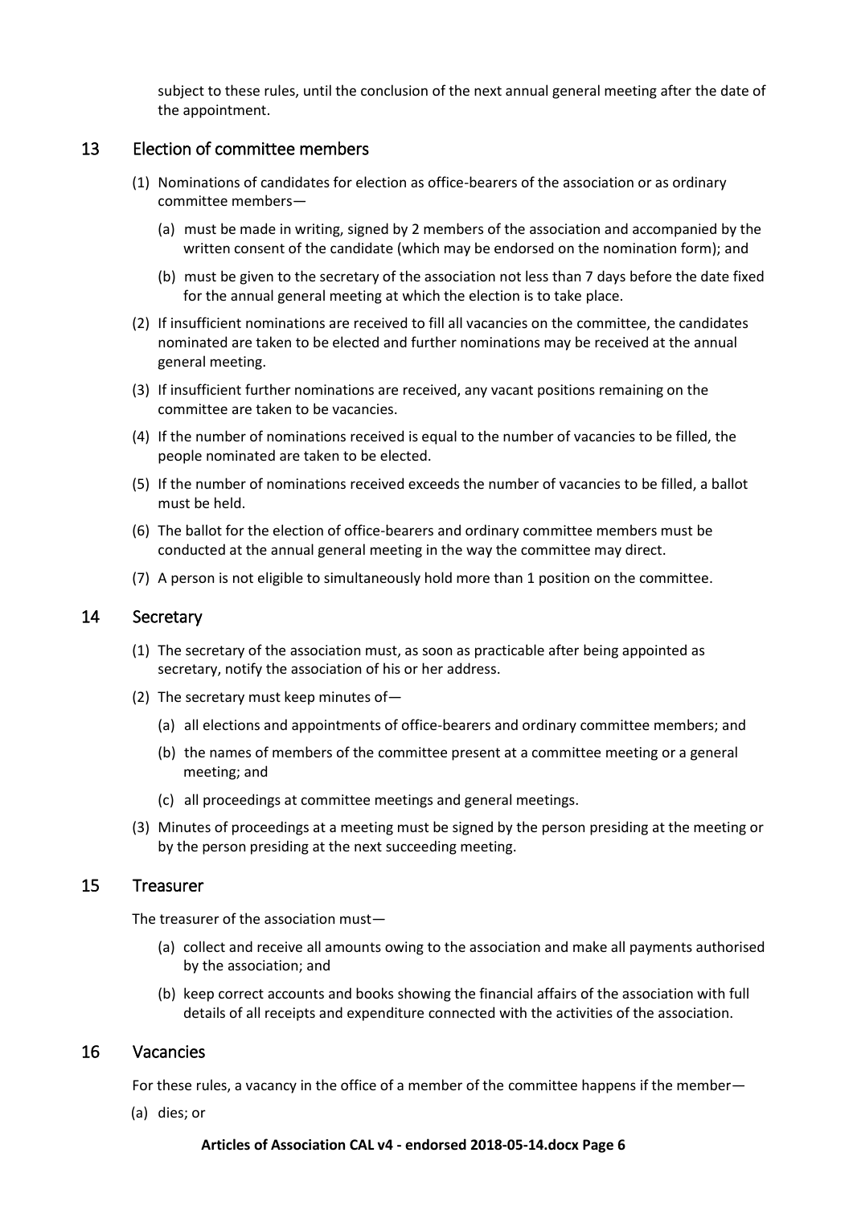subject to these rules, until the conclusion of the next annual general meeting after the date of the appointment.

#### <span id="page-5-0"></span>13 Election of committee members

- (1) Nominations of candidates for election as office-bearers of the association or as ordinary committee members—
	- (a) must be made in writing, signed by 2 members of the association and accompanied by the written consent of the candidate (which may be endorsed on the nomination form); and
	- (b) must be given to the secretary of the association not less than 7 days before the date fixed for the annual general meeting at which the election is to take place.
- (2) If insufficient nominations are received to fill all vacancies on the committee, the candidates nominated are taken to be elected and further nominations may be received at the annual general meeting.
- (3) If insufficient further nominations are received, any vacant positions remaining on the committee are taken to be vacancies.
- (4) If the number of nominations received is equal to the number of vacancies to be filled, the people nominated are taken to be elected.
- (5) If the number of nominations received exceeds the number of vacancies to be filled, a ballot must be held.
- (6) The ballot for the election of office-bearers and ordinary committee members must be conducted at the annual general meeting in the way the committee may direct.
- (7) A person is not eligible to simultaneously hold more than 1 position on the committee.

#### <span id="page-5-1"></span>14 Secretary

- (1) The secretary of the association must, as soon as practicable after being appointed as secretary, notify the association of his or her address.
- (2) The secretary must keep minutes of—
	- (a) all elections and appointments of office-bearers and ordinary committee members; and
	- (b) the names of members of the committee present at a committee meeting or a general meeting; and
	- (c) all proceedings at committee meetings and general meetings.
- (3) Minutes of proceedings at a meeting must be signed by the person presiding at the meeting or by the person presiding at the next succeeding meeting.

#### <span id="page-5-2"></span>15 Treasurer

The treasurer of the association must—

- (a) collect and receive all amounts owing to the association and make all payments authorised by the association; and
- (b) keep correct accounts and books showing the financial affairs of the association with full details of all receipts and expenditure connected with the activities of the association.

#### <span id="page-5-3"></span>16 Vacancies

For these rules, a vacancy in the office of a member of the committee happens if the member—

(a) dies; or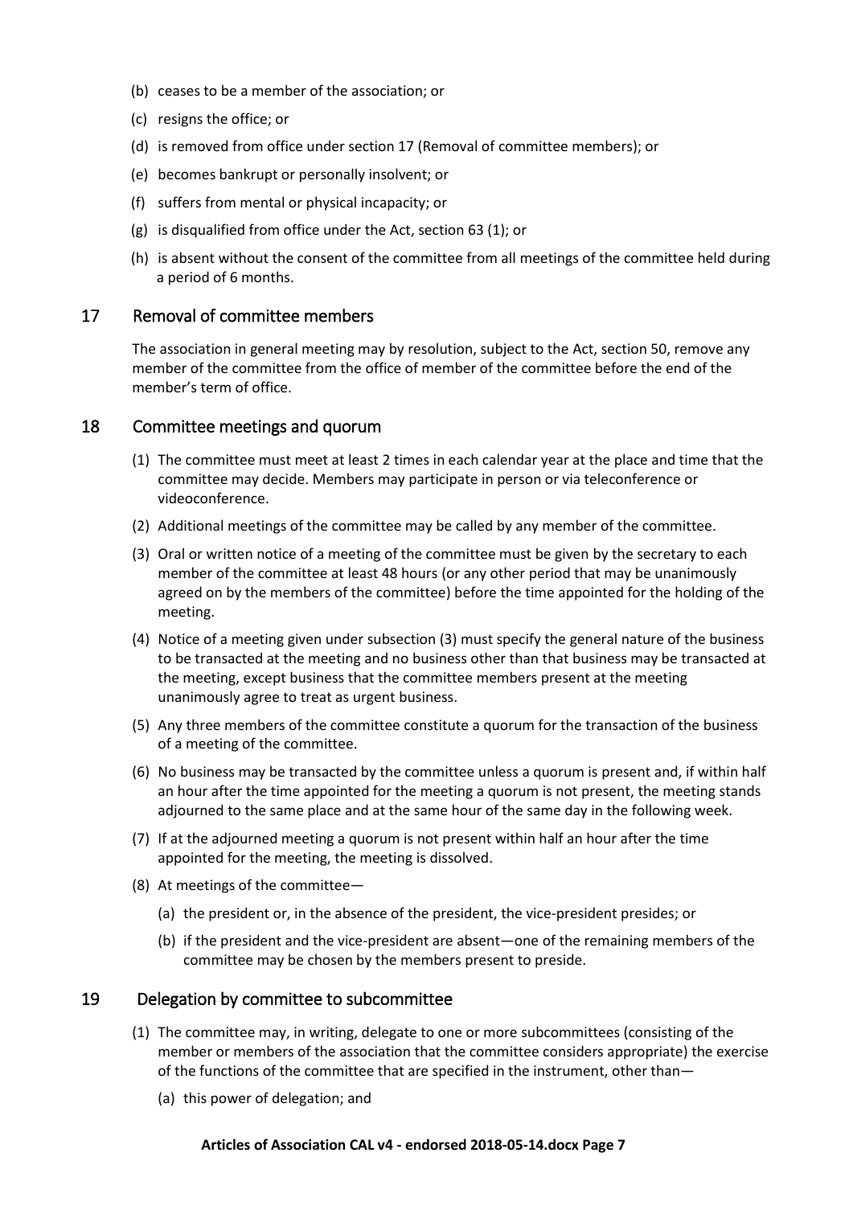- (b) ceases to be a member of the association; or
- (c) resigns the office; or
- (d) is removed from office under section 17 (Removal of committee members); or
- (e) becomes bankrupt or personally insolvent; or
- (f) suffers from mental or physical incapacity; or
- (g) is disqualified from office under the Act, section 63 (1); or
- (h) is absent without the consent of the committee from all meetings of the committee held during a period of 6 months.

#### <span id="page-6-0"></span>17 Removal of committee members

The association in general meeting may by resolution, subject to the Act, section 50, remove any member of the committee from the office of member of the committee before the end of the member's term of office.

#### <span id="page-6-1"></span>18 Committee meetings and quorum

- (1) The committee must meet at least 2 times in each calendar year at the place and time that the committee may decide. Members may participate in person or via teleconference or videoconference.
- (2) Additional meetings of the committee may be called by any member of the committee.
- (3) Oral or written notice of a meeting of the committee must be given by the secretary to each member of the committee at least 48 hours (or any other period that may be unanimously agreed on by the members of the committee) before the time appointed for the holding of the meeting.
- (4) Notice of a meeting given under subsection (3) must specify the general nature of the business to be transacted at the meeting and no business other than that business may be transacted at the meeting, except business that the committee members present at the meeting unanimously agree to treat as urgent business.
- (5) Any three members of the committee constitute a quorum for the transaction of the business of a meeting of the committee.
- (6) No business may be transacted by the committee unless a quorum is present and, if within half an hour after the time appointed for the meeting a quorum is not present, the meeting stands adjourned to the same place and at the same hour of the same day in the following week.
- (7) If at the adjourned meeting a quorum is not present within half an hour after the time appointed for the meeting, the meeting is dissolved.
- (8) At meetings of the committee—
	- (a) the president or, in the absence of the president, the vice-president presides; or
	- (b) if the president and the vice-president are absent—one of the remaining members of the committee may be chosen by the members present to preside.

#### <span id="page-6-2"></span>19 Delegation by committee to subcommittee

- (1) The committee may, in writing, delegate to one or more subcommittees (consisting of the member or members of the association that the committee considers appropriate) the exercise of the functions of the committee that are specified in the instrument, other than—
	- (a) this power of delegation; and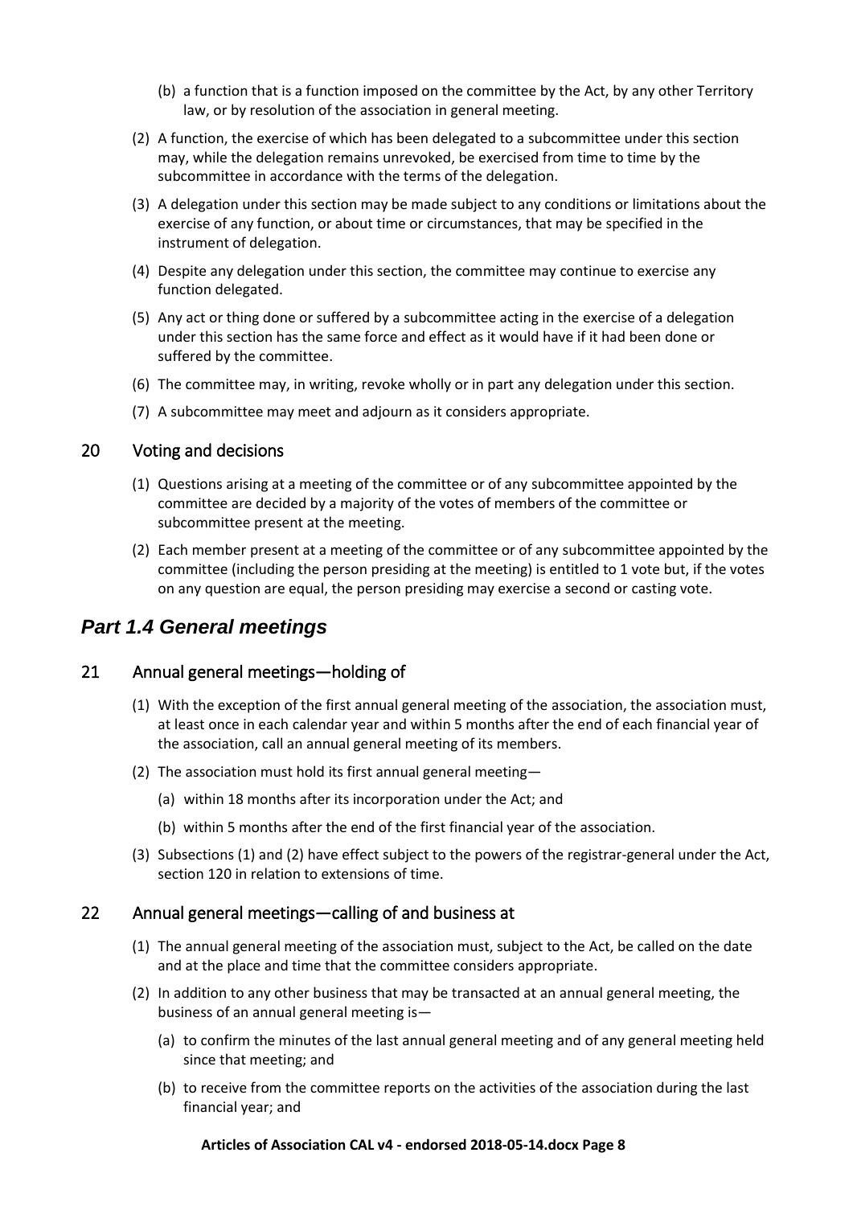- (b) a function that is a function imposed on the committee by the Act, by any other Territory law, or by resolution of the association in general meeting.
- (2) A function, the exercise of which has been delegated to a subcommittee under this section may, while the delegation remains unrevoked, be exercised from time to time by the subcommittee in accordance with the terms of the delegation.
- (3) A delegation under this section may be made subject to any conditions or limitations about the exercise of any function, or about time or circumstances, that may be specified in the instrument of delegation.
- (4) Despite any delegation under this section, the committee may continue to exercise any function delegated.
- (5) Any act or thing done or suffered by a subcommittee acting in the exercise of a delegation under this section has the same force and effect as it would have if it had been done or suffered by the committee.
- (6) The committee may, in writing, revoke wholly or in part any delegation under this section.
- (7) A subcommittee may meet and adjourn as it considers appropriate.

### <span id="page-7-0"></span>20 Voting and decisions

- (1) Questions arising at a meeting of the committee or of any subcommittee appointed by the committee are decided by a majority of the votes of members of the committee or subcommittee present at the meeting.
- (2) Each member present at a meeting of the committee or of any subcommittee appointed by the committee (including the person presiding at the meeting) is entitled to 1 vote but, if the votes on any question are equal, the person presiding may exercise a second or casting vote.

## <span id="page-7-1"></span>*Part 1.4 General meetings*

## <span id="page-7-2"></span>21 Annual general meetings—holding of

- (1) With the exception of the first annual general meeting of the association, the association must, at least once in each calendar year and within 5 months after the end of each financial year of the association, call an annual general meeting of its members.
- (2) The association must hold its first annual general meeting—
	- (a) within 18 months after its incorporation under the Act; and
	- (b) within 5 months after the end of the first financial year of the association.
- (3) Subsections (1) and (2) have effect subject to the powers of the registrar-general under the Act, section 120 in relation to extensions of time.

## <span id="page-7-3"></span>22 Annual general meetings—calling of and business at

- (1) The annual general meeting of the association must, subject to the Act, be called on the date and at the place and time that the committee considers appropriate.
- (2) In addition to any other business that may be transacted at an annual general meeting, the business of an annual general meeting is—
	- (a) to confirm the minutes of the last annual general meeting and of any general meeting held since that meeting; and
	- (b) to receive from the committee reports on the activities of the association during the last financial year; and

#### **Articles of Association CAL v4 - endorsed 2018-05-14.docx Page 8**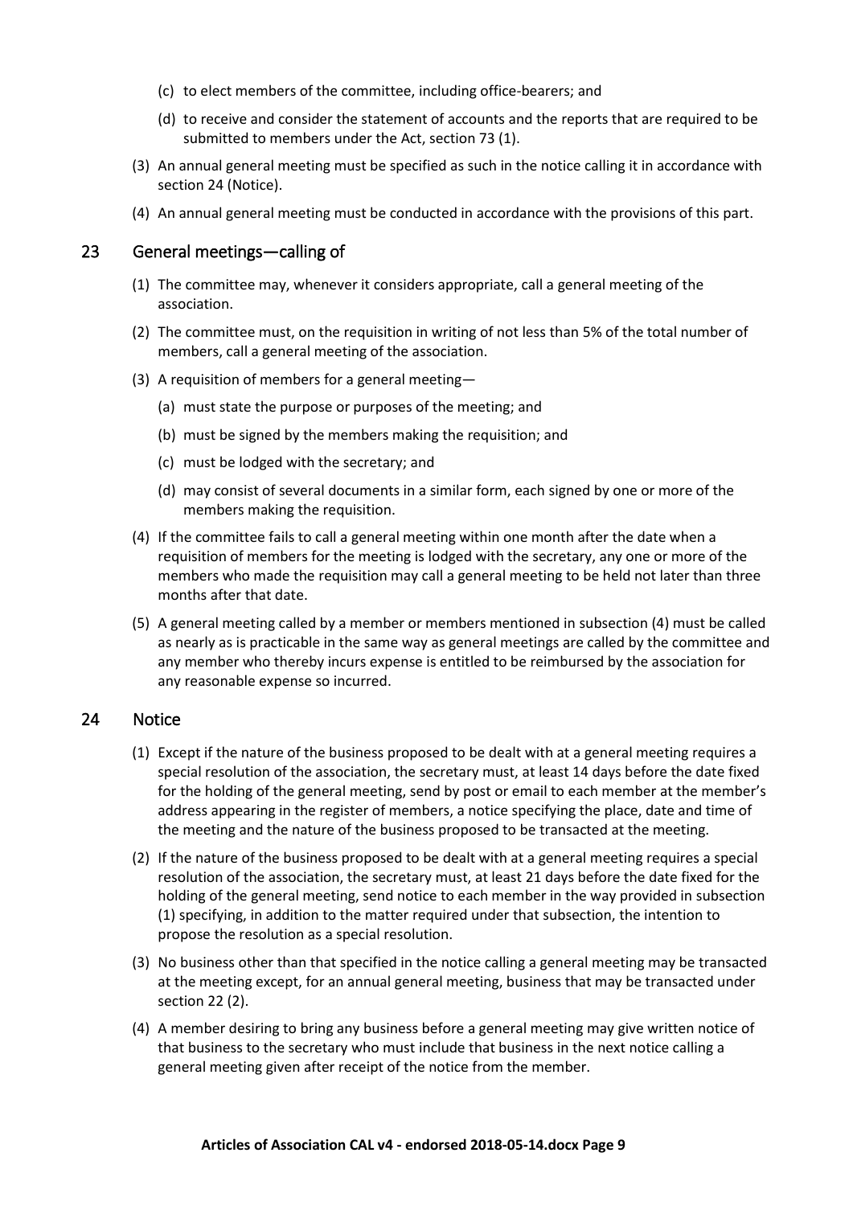- (c) to elect members of the committee, including office-bearers; and
- (d) to receive and consider the statement of accounts and the reports that are required to be submitted to members under the Act, section 73 (1).
- (3) An annual general meeting must be specified as such in the notice calling it in accordance with section 24 (Notice).
- (4) An annual general meeting must be conducted in accordance with the provisions of this part.

#### <span id="page-8-0"></span>23 General meetings—calling of

- (1) The committee may, whenever it considers appropriate, call a general meeting of the association.
- (2) The committee must, on the requisition in writing of not less than 5% of the total number of members, call a general meeting of the association.
- (3) A requisition of members for a general meeting—
	- (a) must state the purpose or purposes of the meeting; and
	- (b) must be signed by the members making the requisition; and
	- (c) must be lodged with the secretary; and
	- (d) may consist of several documents in a similar form, each signed by one or more of the members making the requisition.
- (4) If the committee fails to call a general meeting within one month after the date when a requisition of members for the meeting is lodged with the secretary, any one or more of the members who made the requisition may call a general meeting to be held not later than three months after that date.
- (5) A general meeting called by a member or members mentioned in subsection (4) must be called as nearly as is practicable in the same way as general meetings are called by the committee and any member who thereby incurs expense is entitled to be reimbursed by the association for any reasonable expense so incurred.

#### <span id="page-8-1"></span>24 Notice

- (1) Except if the nature of the business proposed to be dealt with at a general meeting requires a special resolution of the association, the secretary must, at least 14 days before the date fixed for the holding of the general meeting, send by post or email to each member at the member's address appearing in the register of members, a notice specifying the place, date and time of the meeting and the nature of the business proposed to be transacted at the meeting.
- (2) If the nature of the business proposed to be dealt with at a general meeting requires a special resolution of the association, the secretary must, at least 21 days before the date fixed for the holding of the general meeting, send notice to each member in the way provided in subsection (1) specifying, in addition to the matter required under that subsection, the intention to propose the resolution as a special resolution.
- (3) No business other than that specified in the notice calling a general meeting may be transacted at the meeting except, for an annual general meeting, business that may be transacted under section 22 (2).
- (4) A member desiring to bring any business before a general meeting may give written notice of that business to the secretary who must include that business in the next notice calling a general meeting given after receipt of the notice from the member.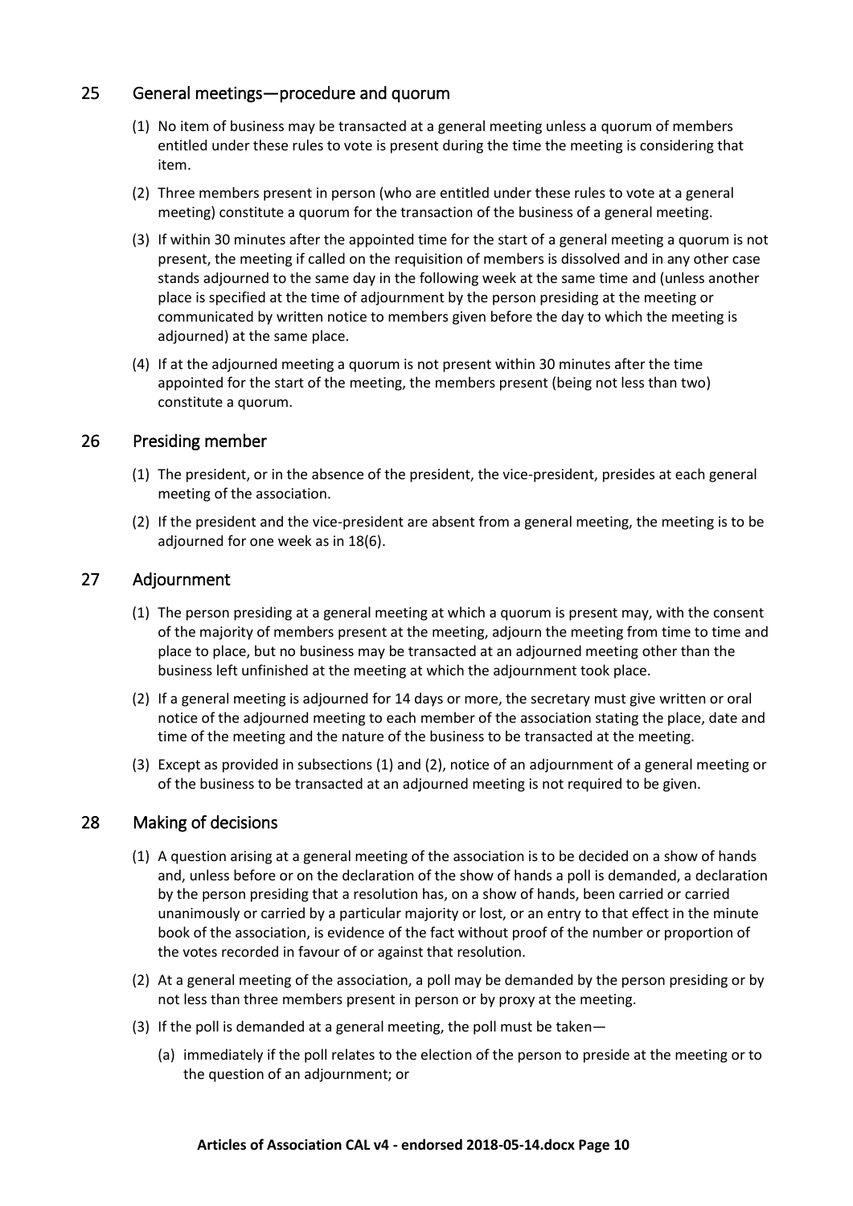## <span id="page-9-0"></span>25 General meetings—procedure and quorum

- (1) No item of business may be transacted at a general meeting unless a quorum of members entitled under these rules to vote is present during the time the meeting is considering that item.
- (2) Three members present in person (who are entitled under these rules to vote at a general meeting) constitute a quorum for the transaction of the business of a general meeting.
- (3) If within 30 minutes after the appointed time for the start of a general meeting a quorum is not present, the meeting if called on the requisition of members is dissolved and in any other case stands adjourned to the same day in the following week at the same time and (unless another place is specified at the time of adjournment by the person presiding at the meeting or communicated by written notice to members given before the day to which the meeting is adjourned) at the same place.
- (4) If at the adjourned meeting a quorum is not present within 30 minutes after the time appointed for the start of the meeting, the members present (being not less than two) constitute a quorum.

### <span id="page-9-1"></span>26 Presiding member

- (1) The president, or in the absence of the president, the vice-president, presides at each general meeting of the association.
- (2) If the president and the vice-president are absent from a general meeting, the meeting is to be adjourned for one week as in 18(6).

### <span id="page-9-2"></span>27 Adjournment

- (1) The person presiding at a general meeting at which a quorum is present may, with the consent of the majority of members present at the meeting, adjourn the meeting from time to time and place to place, but no business may be transacted at an adjourned meeting other than the business left unfinished at the meeting at which the adjournment took place.
- (2) If a general meeting is adjourned for 14 days or more, the secretary must give written or oral notice of the adjourned meeting to each member of the association stating the place, date and time of the meeting and the nature of the business to be transacted at the meeting.
- (3) Except as provided in subsections (1) and (2), notice of an adjournment of a general meeting or of the business to be transacted at an adjourned meeting is not required to be given.

## <span id="page-9-3"></span>28 Making of decisions

- (1) A question arising at a general meeting of the association is to be decided on a show of hands and, unless before or on the declaration of the show of hands a poll is demanded, a declaration by the person presiding that a resolution has, on a show of hands, been carried or carried unanimously or carried by a particular majority or lost, or an entry to that effect in the minute book of the association, is evidence of the fact without proof of the number or proportion of the votes recorded in favour of or against that resolution.
- (2) At a general meeting of the association, a poll may be demanded by the person presiding or by not less than three members present in person or by proxy at the meeting.
- (3) If the poll is demanded at a general meeting, the poll must be taken—
	- (a) immediately if the poll relates to the election of the person to preside at the meeting or to the question of an adjournment; or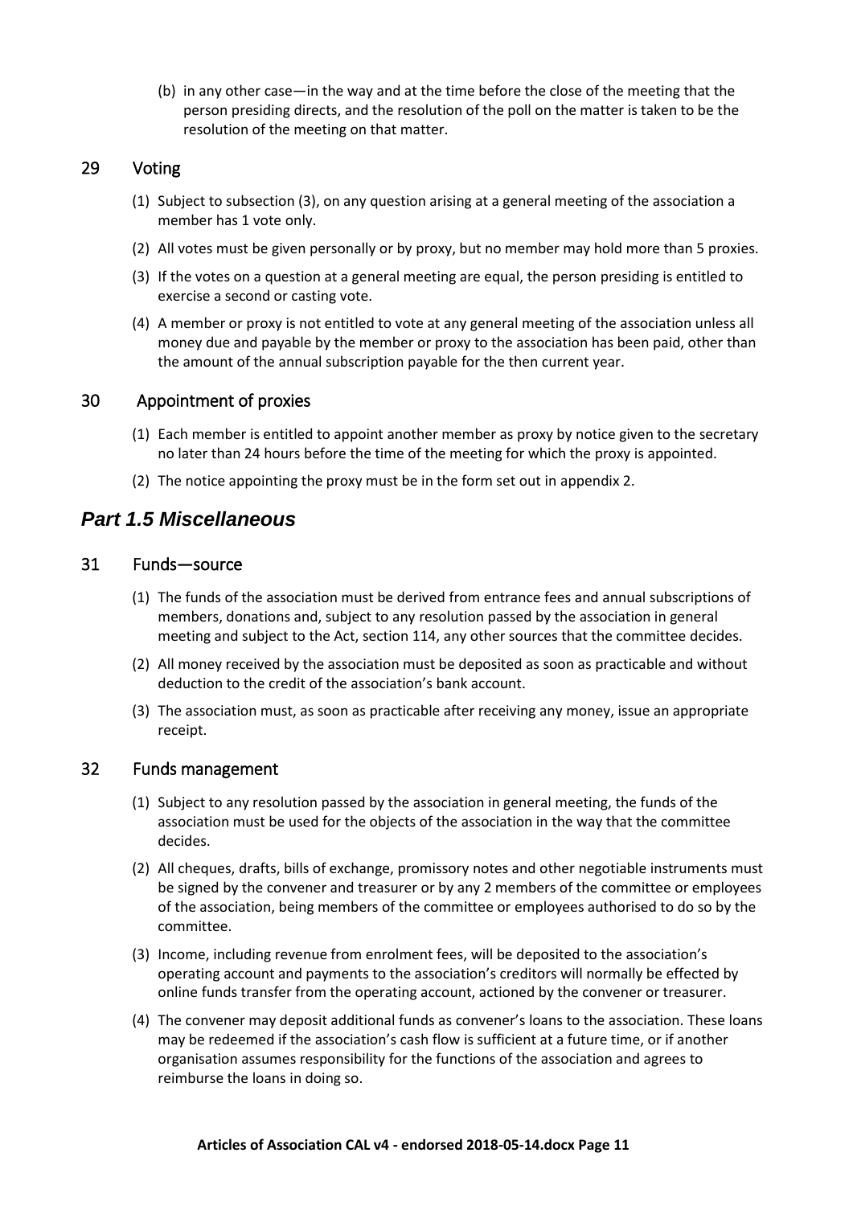(b) in any other case—in the way and at the time before the close of the meeting that the person presiding directs, and the resolution of the poll on the matter is taken to be the resolution of the meeting on that matter.

## <span id="page-10-0"></span>29 Voting

- (1) Subject to subsection (3), on any question arising at a general meeting of the association a member has 1 vote only.
- (2) All votes must be given personally or by proxy, but no member may hold more than 5 proxies.
- (3) If the votes on a question at a general meeting are equal, the person presiding is entitled to exercise a second or casting vote.
- (4) A member or proxy is not entitled to vote at any general meeting of the association unless all money due and payable by the member or proxy to the association has been paid, other than the amount of the annual subscription payable for the then current year.

### <span id="page-10-1"></span>30 Appointment of proxies

- (1) Each member is entitled to appoint another member as proxy by notice given to the secretary no later than 24 hours before the time of the meeting for which the proxy is appointed.
- (2) The notice appointing the proxy must be in the form set out in appendix 2.

## <span id="page-10-2"></span>*Part 1.5 Miscellaneous*

#### <span id="page-10-3"></span>31 Funds—source

- (1) The funds of the association must be derived from entrance fees and annual subscriptions of members, donations and, subject to any resolution passed by the association in general meeting and subject to the Act, section 114, any other sources that the committee decides.
- (2) All money received by the association must be deposited as soon as practicable and without deduction to the credit of the association's bank account.
- (3) The association must, as soon as practicable after receiving any money, issue an appropriate receipt.

#### <span id="page-10-4"></span>32 Funds management

- (1) Subject to any resolution passed by the association in general meeting, the funds of the association must be used for the objects of the association in the way that the committee decides.
- (2) All cheques, drafts, bills of exchange, promissory notes and other negotiable instruments must be signed by the convener and treasurer or by any 2 members of the committee or employees of the association, being members of the committee or employees authorised to do so by the committee.
- (3) Income, including revenue from enrolment fees, will be deposited to the association's operating account and payments to the association's creditors will normally be effected by online funds transfer from the operating account, actioned by the convener or treasurer.
- (4) The convener may deposit additional funds as convener's loans to the association. These loans may be redeemed if the association's cash flow is sufficient at a future time, or if another organisation assumes responsibility for the functions of the association and agrees to reimburse the loans in doing so.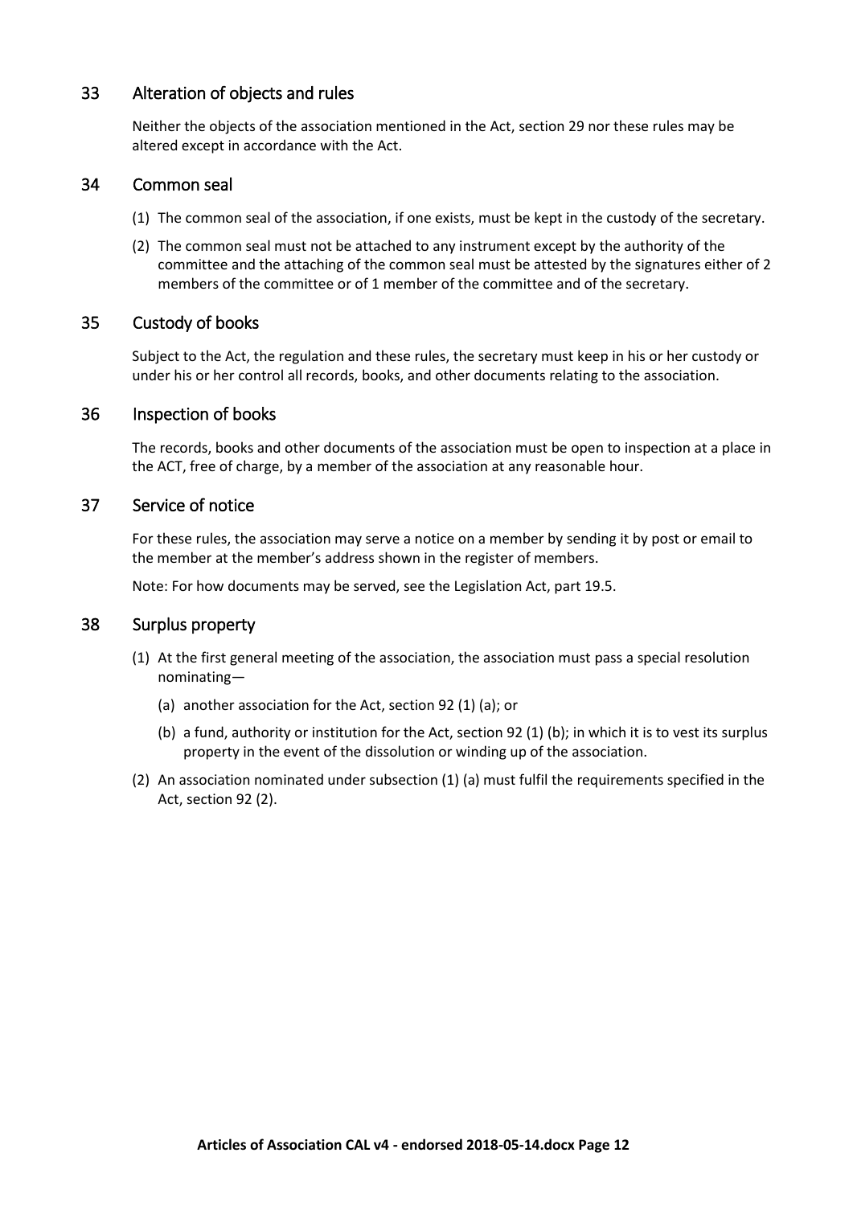### <span id="page-11-0"></span>33 Alteration of objects and rules

Neither the objects of the association mentioned in the Act, section 29 nor these rules may be altered except in accordance with the Act.

#### <span id="page-11-1"></span>34 Common seal

- (1) The common seal of the association, if one exists, must be kept in the custody of the secretary.
- (2) The common seal must not be attached to any instrument except by the authority of the committee and the attaching of the common seal must be attested by the signatures either of 2 members of the committee or of 1 member of the committee and of the secretary.

#### <span id="page-11-2"></span>35 Custody of books

Subject to the Act, the regulation and these rules, the secretary must keep in his or her custody or under his or her control all records, books, and other documents relating to the association.

#### <span id="page-11-3"></span>36 Inspection of books

The records, books and other documents of the association must be open to inspection at a place in the ACT, free of charge, by a member of the association at any reasonable hour.

#### <span id="page-11-4"></span>37 Service of notice

For these rules, the association may serve a notice on a member by sending it by post or email to the member at the member's address shown in the register of members.

Note: For how documents may be served, see the Legislation Act, part 19.5.

#### <span id="page-11-5"></span>38 Surplus property

- (1) At the first general meeting of the association, the association must pass a special resolution nominating—
	- (a) another association for the Act, section 92 (1) (a); or
	- (b) a fund, authority or institution for the Act, section 92 (1) (b); in which it is to vest its surplus property in the event of the dissolution or winding up of the association.
- (2) An association nominated under subsection (1) (a) must fulfil the requirements specified in the Act, section 92 (2).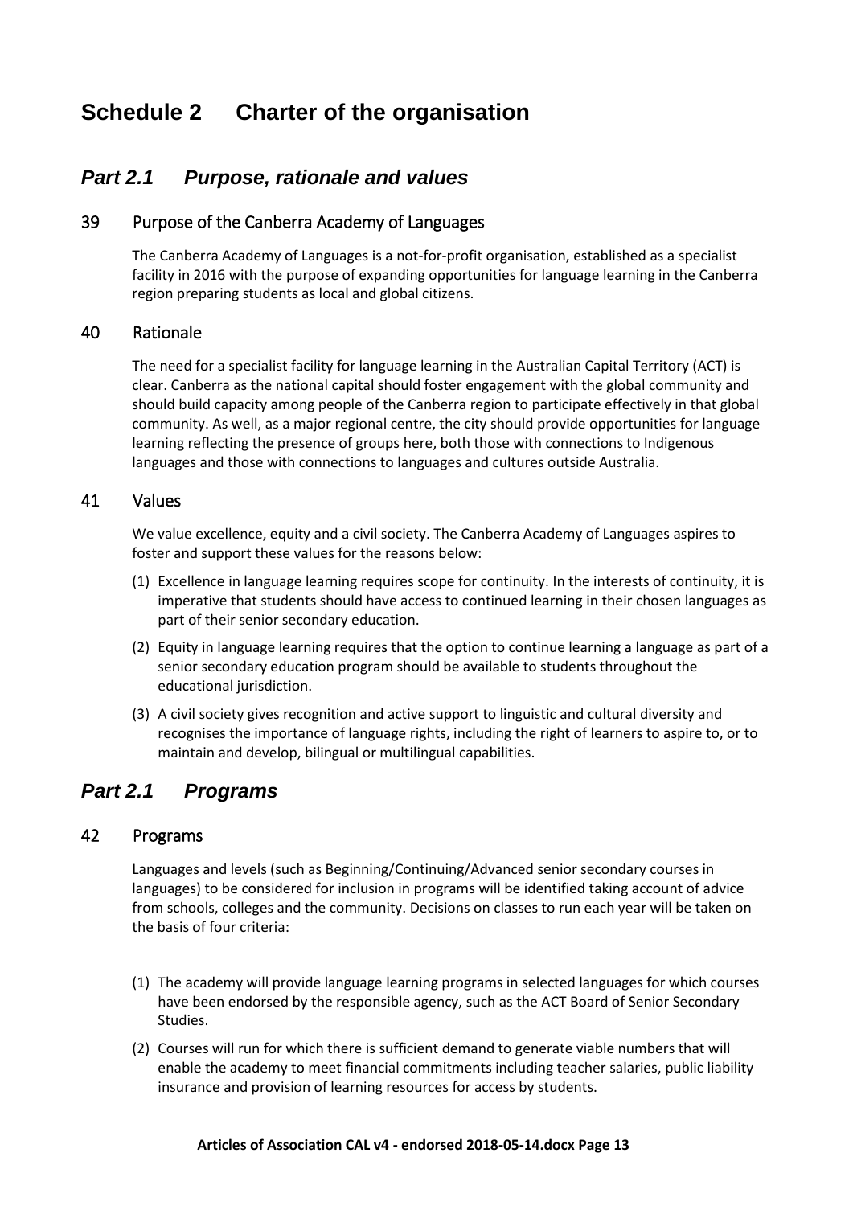# <span id="page-12-0"></span>**Schedule 2 Charter of the organisation**

## <span id="page-12-1"></span>*Part 2.1 Purpose, rationale and values*

### <span id="page-12-2"></span>39 Purpose of the Canberra Academy of Languages

The Canberra Academy of Languages is a not-for-profit organisation, established as a specialist facility in 2016 with the purpose of expanding opportunities for language learning in the Canberra region preparing students as local and global citizens.

#### <span id="page-12-3"></span>40 Rationale

The need for a specialist facility for language learning in the Australian Capital Territory (ACT) is clear. Canberra as the national capital should foster engagement with the global community and should build capacity among people of the Canberra region to participate effectively in that global community. As well, as a major regional centre, the city should provide opportunities for language learning reflecting the presence of groups here, both those with connections to Indigenous languages and those with connections to languages and cultures outside Australia.

## <span id="page-12-4"></span>41 Values

We value excellence, equity and a civil society. The Canberra Academy of Languages aspires to foster and support these values for the reasons below:

- (1) Excellence in language learning requires scope for continuity. In the interests of continuity, it is imperative that students should have access to continued learning in their chosen languages as part of their senior secondary education.
- (2) Equity in language learning requires that the option to continue learning a language as part of a senior secondary education program should be available to students throughout the educational jurisdiction.
- (3) A civil society gives recognition and active support to linguistic and cultural diversity and recognises the importance of language rights, including the right of learners to aspire to, or to maintain and develop, bilingual or multilingual capabilities.

## *Part 2.1 Programs*

#### <span id="page-12-5"></span>42 Programs

Languages and levels (such as Beginning/Continuing/Advanced senior secondary courses in languages) to be considered for inclusion in programs will be identified taking account of advice from schools, colleges and the community. Decisions on classes to run each year will be taken on the basis of four criteria:

- (1) The academy will provide language learning programs in selected languages for which courses have been endorsed by the responsible agency, such as the ACT Board of Senior Secondary Studies.
- (2) Courses will run for which there is sufficient demand to generate viable numbers that will enable the academy to meet financial commitments including teacher salaries, public liability insurance and provision of learning resources for access by students.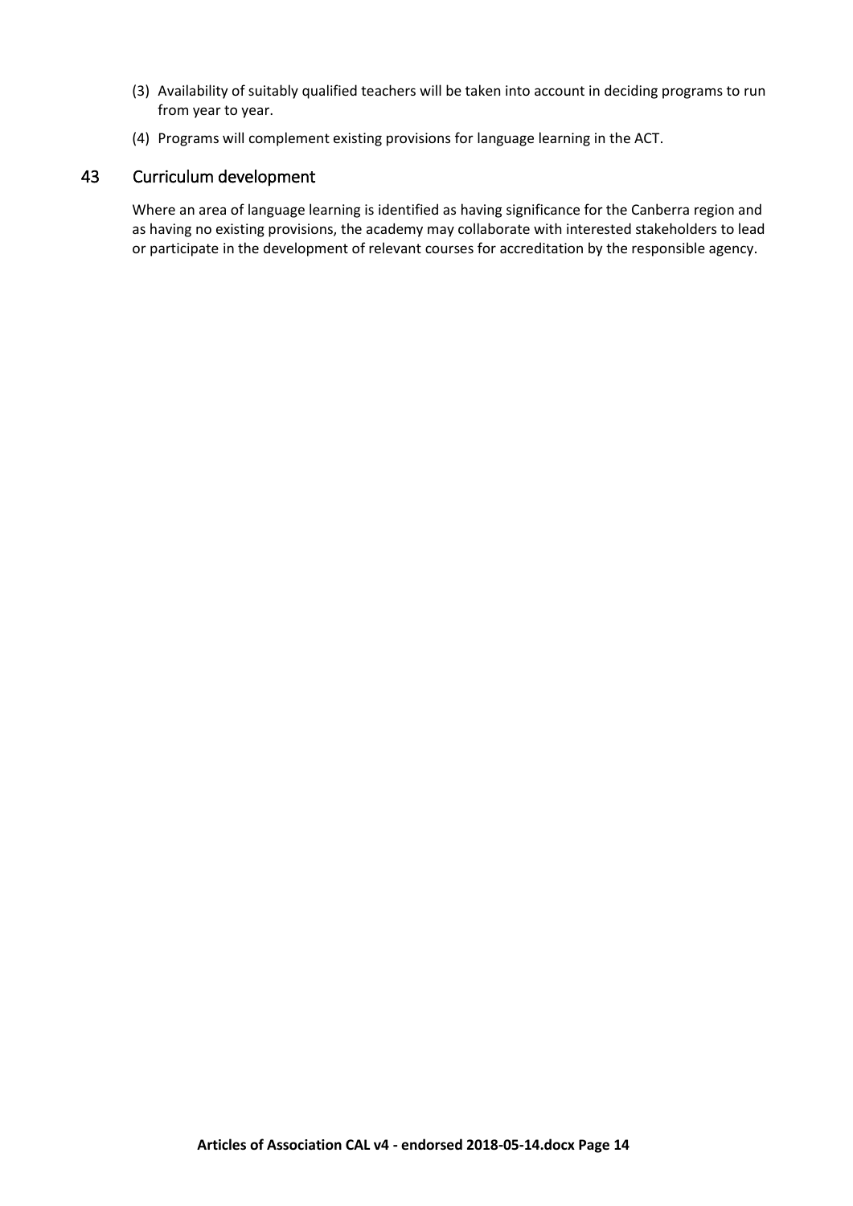- (3) Availability of suitably qualified teachers will be taken into account in deciding programs to run from year to year.
- (4) Programs will complement existing provisions for language learning in the ACT.

## 43 Curriculum development

Where an area of language learning is identified as having significance for the Canberra region and as having no existing provisions, the academy may collaborate with interested stakeholders to lead or participate in the development of relevant courses for accreditation by the responsible agency.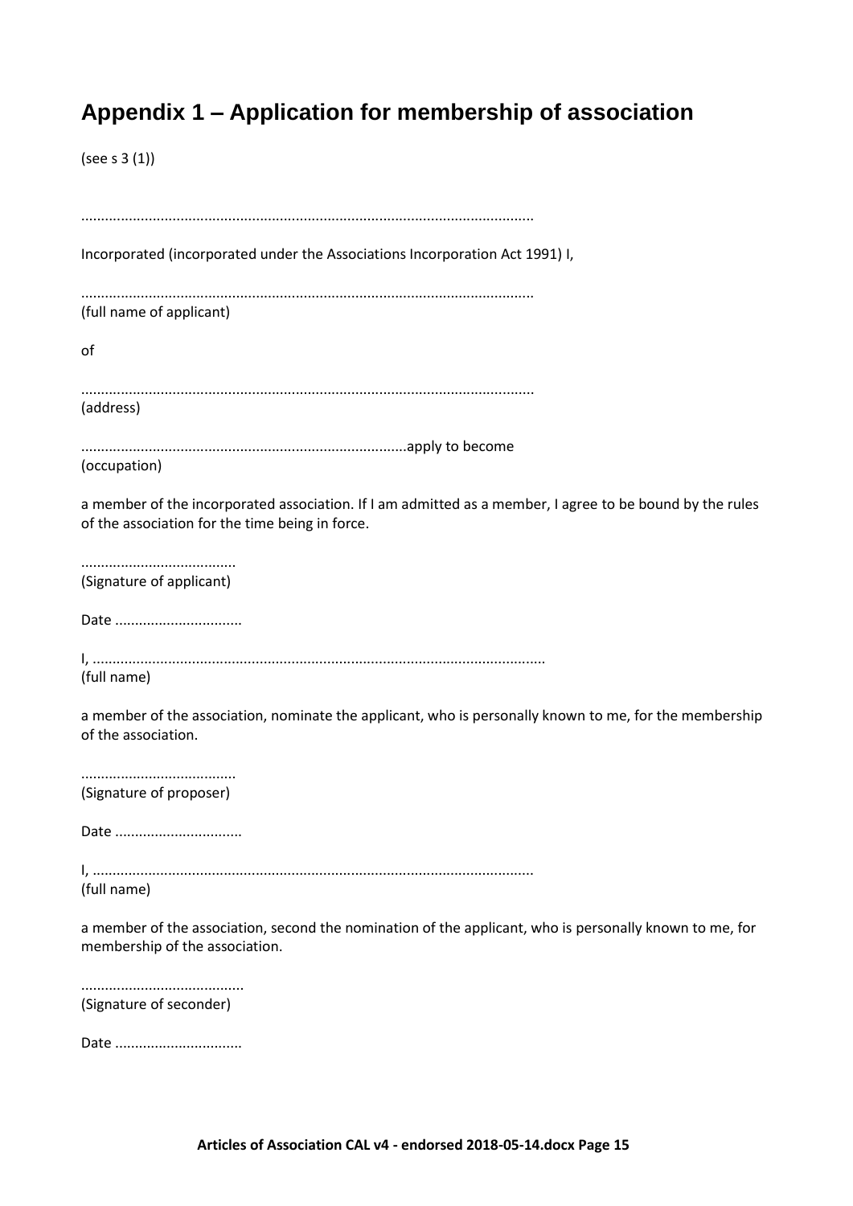# <span id="page-14-0"></span>**Appendix 1 – Application for membership of association**

(see s 3 (1))

| Incorporated (incorporated under the Associations Incorporation Act 1991) I,                                                                                |
|-------------------------------------------------------------------------------------------------------------------------------------------------------------|
| (full name of applicant)                                                                                                                                    |
| of                                                                                                                                                          |
| (address)                                                                                                                                                   |
| (occupation)                                                                                                                                                |
| a member of the incorporated association. If I am admitted as a member, I agree to be bound by the rules<br>of the association for the time being in force. |
| (Signature of applicant)                                                                                                                                    |
| Date                                                                                                                                                        |
| (full name)                                                                                                                                                 |
| a member of the association, nominate the applicant, who is personally known to me, for the membership<br>of the association.                               |
| (Signature of proposer)                                                                                                                                     |
| Date                                                                                                                                                        |
| (full name)                                                                                                                                                 |
| a member of the association, second the nomination of the applicant, who is personally known to me, for<br>membership of the association.                   |
| (Signature of seconder)                                                                                                                                     |
| Date                                                                                                                                                        |